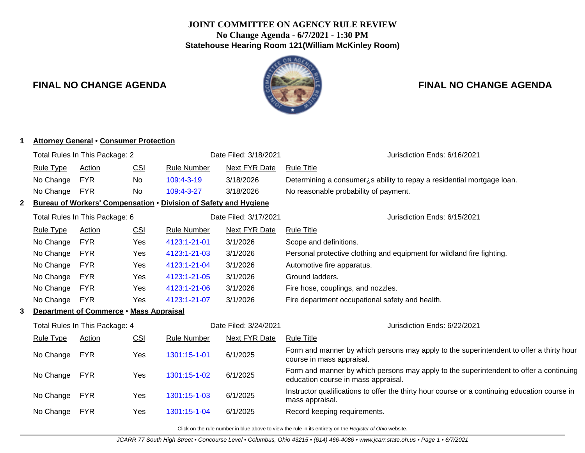## **JOINT COMMITTEE ON AGENCY RULE REVIEW No Change Agenda - 6/7/2021 - 1:30 PM Statehouse Hearing Room 121(William McKinley Room)**



# **FINAL NO CHANGE AGENDA FINAL NO CHANGE AGENDA**

| <b>Attorney General • Consumer Protection</b> |                                                         |                                               |                                 |                                                                         |                                                                                                                      |                                                                                                                               |  |
|-----------------------------------------------|---------------------------------------------------------|-----------------------------------------------|---------------------------------|-------------------------------------------------------------------------|----------------------------------------------------------------------------------------------------------------------|-------------------------------------------------------------------------------------------------------------------------------|--|
| Total Rules In This Package: 2                |                                                         |                                               | Date Filed: 3/18/2021           | Jurisdiction Ends: 6/16/2021                                            |                                                                                                                      |                                                                                                                               |  |
|                                               | <b>Rule Type</b>                                        | <b>Action</b>                                 | <b>CSI</b>                      | <b>Next FYR Date</b><br><b>Rule Number</b>                              |                                                                                                                      | <b>Rule Title</b>                                                                                                             |  |
|                                               | No Change                                               | <b>FYR</b>                                    | No                              | 109:4-3-19                                                              | 3/18/2026                                                                                                            | Determining a consumer is ability to repay a residential mortgage loan.                                                       |  |
|                                               | No Change                                               | <b>FYR</b>                                    | <b>No</b>                       | 109:4-3-27                                                              | 3/18/2026                                                                                                            | No reasonable probability of payment.                                                                                         |  |
| $\mathbf{2}$                                  |                                                         |                                               |                                 | <b>Bureau of Workers' Compensation . Division of Safety and Hygiene</b> |                                                                                                                      |                                                                                                                               |  |
|                                               | Total Rules In This Package: 6<br>Date Filed: 3/17/2021 |                                               |                                 | Jurisdiction Ends: 6/15/2021                                            |                                                                                                                      |                                                                                                                               |  |
|                                               | <b>Rule Type</b>                                        | Action                                        | <b>CSI</b>                      | <b>Rule Number</b>                                                      | <b>Next FYR Date</b>                                                                                                 | <b>Rule Title</b>                                                                                                             |  |
| No Change<br><b>FYR</b><br>Yes                |                                                         | 4123:1-21-01                                  | 3/1/2026                        | Scope and definitions.                                                  |                                                                                                                      |                                                                                                                               |  |
| No Change<br><b>FYR</b><br>Yes                |                                                         | 4123:1-21-03                                  | 3/1/2026                        | Personal protective clothing and equipment for wildland fire fighting.  |                                                                                                                      |                                                                                                                               |  |
|                                               | No Change                                               | <b>FYR</b><br>4123:1-21-04<br>3/1/2026<br>Yes |                                 |                                                                         | Automotive fire apparatus.                                                                                           |                                                                                                                               |  |
|                                               | No Change                                               | <b>FYR</b>                                    | Yes                             | 4123:1-21-05                                                            | 3/1/2026                                                                                                             | Ground ladders.                                                                                                               |  |
|                                               | No Change                                               | <b>FYR</b>                                    | Yes                             | 4123:1-21-06                                                            | 3/1/2026                                                                                                             | Fire hose, couplings, and nozzles.                                                                                            |  |
|                                               | No Change                                               | <b>FYR</b>                                    | Yes                             | 4123:1-21-07                                                            | 3/1/2026                                                                                                             | Fire department occupational safety and health.                                                                               |  |
| Department of Commerce . Mass Appraisal<br>3  |                                                         |                                               |                                 |                                                                         |                                                                                                                      |                                                                                                                               |  |
|                                               | Total Rules In This Package: 4<br>Date Filed: 3/24/2021 |                                               |                                 | Jurisdiction Ends: 6/22/2021                                            |                                                                                                                      |                                                                                                                               |  |
|                                               | <b>Rule Type</b>                                        | Action                                        | CSI                             | <b>Rule Number</b>                                                      | <b>Next FYR Date</b>                                                                                                 | <b>Rule Title</b>                                                                                                             |  |
|                                               | No Change                                               | <b>FYR</b><br>6/1/2025<br>Yes<br>1301:15-1-01 |                                 |                                                                         | Form and manner by which persons may apply to the superintendent to offer a thirty hour<br>course in mass appraisal. |                                                                                                                               |  |
|                                               | No Change                                               | <b>FYR</b>                                    | Yes<br>1301:15-1-02<br>6/1/2025 |                                                                         |                                                                                                                      | Form and manner by which persons may apply to the superintendent to offer a continuing<br>education course in mass appraisal. |  |
|                                               | No Change                                               | <b>FYR</b><br>1301:15-1-03<br>6/1/2025<br>Yes |                                 |                                                                         | Instructor qualifications to offer the thirty hour course or a continuing education course in<br>mass appraisal.     |                                                                                                                               |  |
|                                               | No Change                                               | <b>FYR</b>                                    | Yes                             | 1301:15-1-04                                                            | 6/1/2025                                                                                                             | Record keeping requirements.                                                                                                  |  |
|                                               |                                                         |                                               |                                 |                                                                         |                                                                                                                      |                                                                                                                               |  |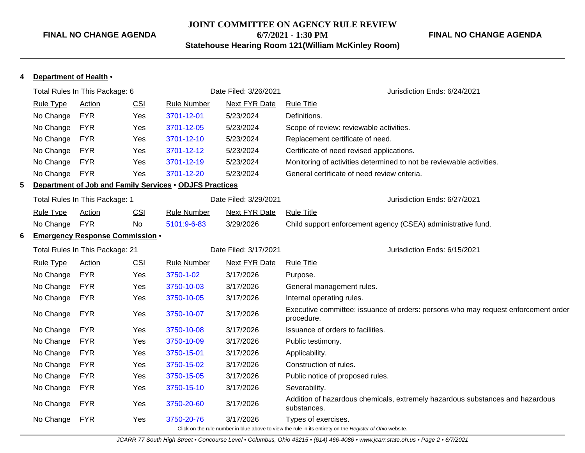### **JOINT COMMITTEE ON AGENCY RULE REVIEW 6/7/2021 - 1:30 PM Statehouse Hearing Room 121(William McKinley Room)**

### **FINAL NO CHANGE AGENDA**

| Department of Health •<br>4                               |                                                                |               |                                                                                                                                 |                                                         |                       |                                                                                                  |  |  |
|-----------------------------------------------------------|----------------------------------------------------------------|---------------|---------------------------------------------------------------------------------------------------------------------------------|---------------------------------------------------------|-----------------------|--------------------------------------------------------------------------------------------------|--|--|
| Total Rules In This Package: 6                            |                                                                |               | Date Filed: 3/26/2021                                                                                                           | Jurisdiction Ends: 6/24/2021                            |                       |                                                                                                  |  |  |
|                                                           | CSI<br><b>Rule Type</b><br><b>Action</b><br><b>Rule Number</b> |               | <b>Next FYR Date</b>                                                                                                            | <b>Rule Title</b>                                       |                       |                                                                                                  |  |  |
|                                                           | No Change                                                      | <b>FYR</b>    | Yes                                                                                                                             | 3701-12-01                                              | 5/23/2024             | Definitions.                                                                                     |  |  |
|                                                           | No Change                                                      | <b>FYR</b>    | Yes                                                                                                                             | 3701-12-05                                              | 5/23/2024             | Scope of review: reviewable activities.                                                          |  |  |
|                                                           | No Change                                                      | <b>FYR</b>    | Yes                                                                                                                             | 3701-12-10                                              | 5/23/2024             | Replacement certificate of need.                                                                 |  |  |
|                                                           | No Change                                                      | <b>FYR</b>    | Yes                                                                                                                             | 3701-12-12                                              | 5/23/2024             | Certificate of need revised applications.                                                        |  |  |
|                                                           | No Change                                                      | <b>FYR</b>    | Yes                                                                                                                             | 3701-12-19                                              | 5/23/2024             | Monitoring of activities determined to not be reviewable activities.                             |  |  |
|                                                           | No Change                                                      | <b>FYR</b>    | Yes                                                                                                                             | 3701-12-20                                              | 5/23/2024             | General certificate of need review criteria.                                                     |  |  |
| 5                                                         |                                                                |               |                                                                                                                                 | Department of Job and Family Services . ODJFS Practices |                       |                                                                                                  |  |  |
|                                                           | Total Rules In This Package: 1                                 |               |                                                                                                                                 |                                                         | Date Filed: 3/29/2021 | Jurisdiction Ends: 6/27/2021                                                                     |  |  |
|                                                           | <b>Rule Type</b>                                               | <b>Action</b> | <b>CSI</b>                                                                                                                      | <b>Rule Number</b>                                      | <b>Next FYR Date</b>  | <b>Rule Title</b>                                                                                |  |  |
|                                                           | No Change                                                      | <b>FYR</b>    | No<br>5101:9-6-83                                                                                                               |                                                         | 3/29/2026             | Child support enforcement agency (CSEA) administrative fund.                                     |  |  |
| 6                                                         |                                                                |               | <b>Emergency Response Commission •</b>                                                                                          |                                                         |                       |                                                                                                  |  |  |
|                                                           | Total Rules In This Package: 21                                |               |                                                                                                                                 | Date Filed: 3/17/2021                                   |                       | Jurisdiction Ends: 6/15/2021                                                                     |  |  |
|                                                           | <b>Rule Type</b>                                               | Action        | <b>CSI</b>                                                                                                                      | <b>Rule Number</b>                                      | <b>Next FYR Date</b>  | <b>Rule Title</b>                                                                                |  |  |
|                                                           | No Change                                                      | <b>FYR</b>    | Yes                                                                                                                             | 3750-1-02                                               | 3/17/2026             | Purpose.                                                                                         |  |  |
|                                                           | No Change                                                      | <b>FYR</b>    | Yes                                                                                                                             | 3750-10-03                                              | 3/17/2026             | General management rules.                                                                        |  |  |
|                                                           | No Change                                                      | <b>FYR</b>    | Yes                                                                                                                             | 3750-10-05                                              | 3/17/2026             | Internal operating rules.                                                                        |  |  |
|                                                           | No Change                                                      | <b>FYR</b>    | Yes                                                                                                                             | 3750-10-07                                              | 3/17/2026             | Executive committee: issuance of orders: persons who may request enforcement order<br>procedure. |  |  |
|                                                           | No Change                                                      | <b>FYR</b>    | Yes                                                                                                                             | 3750-10-08                                              | 3/17/2026             | Issuance of orders to facilities.                                                                |  |  |
|                                                           | No Change                                                      | <b>FYR</b>    | Yes                                                                                                                             | 3750-10-09                                              | 3/17/2026             | Public testimony.                                                                                |  |  |
|                                                           | No Change                                                      | <b>FYR</b>    | Yes                                                                                                                             | 3750-15-01                                              | 3/17/2026             | Applicability.                                                                                   |  |  |
|                                                           | No Change                                                      | <b>FYR</b>    | Yes                                                                                                                             | 3750-15-02                                              | 3/17/2026             | Construction of rules.                                                                           |  |  |
|                                                           | No Change                                                      | <b>FYR</b>    | Yes                                                                                                                             | 3750-15-05                                              | 3/17/2026             | Public notice of proposed rules.                                                                 |  |  |
|                                                           | No Change                                                      | <b>FYR</b>    | Yes                                                                                                                             | 3750-15-10                                              | 3/17/2026             | Severability.                                                                                    |  |  |
|                                                           | No Change                                                      | <b>FYR</b>    | Yes                                                                                                                             | 3750-20-60                                              | 3/17/2026             | Addition of hazardous chemicals, extremely hazardous substances and hazardous<br>substances.     |  |  |
| No Change<br><b>FYR</b><br>Yes<br>3750-20-76<br>3/17/2026 |                                                                |               | Types of exercises.<br>Click on the rule number in blue above to view the rule in its entirety on the Register of Ohio website. |                                                         |                       |                                                                                                  |  |  |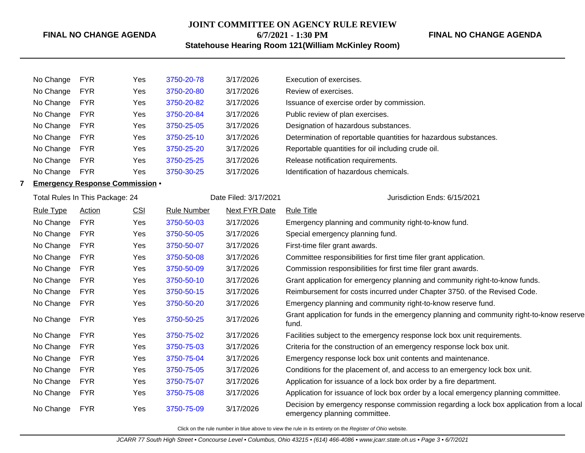### **JOINT COMMITTEE ON AGENCY RULE REVIEW 6/7/2021 - 1:30 PM**

### **FINAL NO CHANGE AGENDA**

**Statehouse Hearing Room 121(William McKinley Room)**

| No Change | <b>FYR</b> | Yes | 3750-20-78 | 3/17/2026 | Execution of exercises.                                          |
|-----------|------------|-----|------------|-----------|------------------------------------------------------------------|
| No Change | <b>FYR</b> | Yes | 3750-20-80 | 3/17/2026 | Review of exercises.                                             |
| No Change | <b>FYR</b> | Yes | 3750-20-82 | 3/17/2026 | Issuance of exercise order by commission.                        |
| No Change | <b>FYR</b> | Yes | 3750-20-84 | 3/17/2026 | Public review of plan exercises.                                 |
| No Change | <b>FYR</b> | Yes | 3750-25-05 | 3/17/2026 | Designation of hazardous substances.                             |
| No Change | <b>FYR</b> | Yes | 3750-25-10 | 3/17/2026 | Determination of reportable quantities for hazardous substances. |
| No Change | <b>FYR</b> | Yes | 3750-25-20 | 3/17/2026 | Reportable quantities for oil including crude oil.               |
| No Change | <b>FYR</b> | Yes | 3750-25-25 | 3/17/2026 | Release notification requirements.                               |
| No Change | <b>FYR</b> | Yes | 3750-30-25 | 3/17/2026 | Identification of hazardous chemicals.                           |
|           |            |     |            |           |                                                                  |

### **7 Emergency Response Commission** •

|                  | Total Rules In This Package: 24 |     |                    | Date Filed: 3/17/2021 | Jurisdiction Ends: 6/15/2021                                                                                             |  |  |
|------------------|---------------------------------|-----|--------------------|-----------------------|--------------------------------------------------------------------------------------------------------------------------|--|--|
| <b>Rule Type</b> | <b>Action</b>                   | CSI | <b>Rule Number</b> | <b>Next FYR Date</b>  | <b>Rule Title</b>                                                                                                        |  |  |
| No Change        | <b>FYR</b>                      | Yes | 3750-50-03         | 3/17/2026             | Emergency planning and community right-to-know fund.                                                                     |  |  |
| No Change        | <b>FYR</b>                      | Yes | 3750-50-05         | 3/17/2026             | Special emergency planning fund.                                                                                         |  |  |
| No Change        | <b>FYR</b>                      | Yes | 3750-50-07         | 3/17/2026             | First-time filer grant awards.                                                                                           |  |  |
| No Change        | <b>FYR</b>                      | Yes | 3750-50-08         | 3/17/2026             | Committee responsibilities for first time filer grant application.                                                       |  |  |
| No Change        | <b>FYR</b>                      | Yes | 3750-50-09         | 3/17/2026             | Commission responsibilities for first time filer grant awards.                                                           |  |  |
| No Change        | <b>FYR</b>                      | Yes | 3750-50-10         | 3/17/2026             | Grant application for emergency planning and community right-to-know funds.                                              |  |  |
| No Change        | <b>FYR</b>                      | Yes | 3750-50-15         | 3/17/2026             | Reimbursement for costs incurred under Chapter 3750. of the Revised Code.                                                |  |  |
| No Change        | <b>FYR</b>                      | Yes | 3750-50-20         | 3/17/2026             | Emergency planning and community right-to-know reserve fund.                                                             |  |  |
| No Change        | <b>FYR</b>                      | Yes | 3750-50-25         | 3/17/2026             | Grant application for funds in the emergency planning and community right-to-know reserve<br>fund.                       |  |  |
| No Change        | <b>FYR</b>                      | Yes | 3750-75-02         | 3/17/2026             | Facilities subject to the emergency response lock box unit requirements.                                                 |  |  |
| No Change        | <b>FYR</b>                      | Yes | 3750-75-03         | 3/17/2026             | Criteria for the construction of an emergency response lock box unit.                                                    |  |  |
| No Change        | <b>FYR</b>                      | Yes | 3750-75-04         | 3/17/2026             | Emergency response lock box unit contents and maintenance.                                                               |  |  |
| No Change        | <b>FYR</b>                      | Yes | 3750-75-05         | 3/17/2026             | Conditions for the placement of, and access to an emergency lock box unit.                                               |  |  |
| No Change        | <b>FYR</b>                      | Yes | 3750-75-07         | 3/17/2026             | Application for issuance of a lock box order by a fire department.                                                       |  |  |
| No Change        | <b>FYR</b>                      | Yes | 3750-75-08         | 3/17/2026             | Application for issuance of lock box order by a local emergency planning committee.                                      |  |  |
| No Change        | <b>FYR</b>                      | Yes | 3750-75-09         | 3/17/2026             | Decision by emergency response commission regarding a lock box application from a local<br>emergency planning committee. |  |  |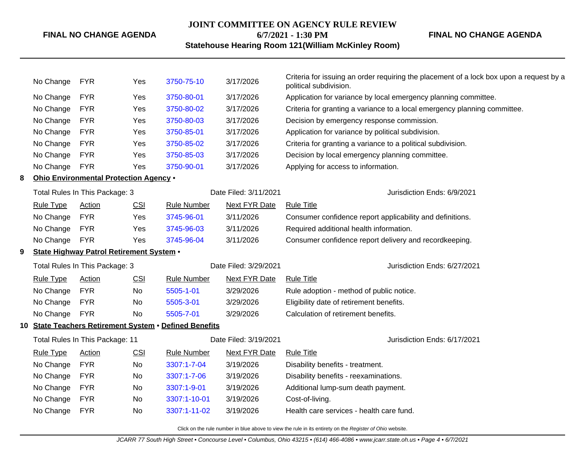### **JOINT COMMITTEE ON AGENCY RULE REVIEW 6/7/2021 - 1:30 PM**

**FINAL NO CHANGE AGENDA**

### **Statehouse Hearing Room 121(William McKinley Room)**

|   | No Change                                | <b>FYR</b>                                             | Yes        | 3750-75-10            | 3/17/2026                    | Criteria for issuing an order requiring the placement of a lock box upon a request by a<br>political subdivision. |  |  |  |  |
|---|------------------------------------------|--------------------------------------------------------|------------|-----------------------|------------------------------|-------------------------------------------------------------------------------------------------------------------|--|--|--|--|
|   | No Change                                | <b>FYR</b>                                             | Yes        | 3750-80-01            | 3/17/2026                    | Application for variance by local emergency planning committee.                                                   |  |  |  |  |
|   | No Change                                | <b>FYR</b>                                             | Yes        | 3750-80-02            | 3/17/2026                    | Criteria for granting a variance to a local emergency planning committee.                                         |  |  |  |  |
|   | No Change                                | <b>FYR</b>                                             | Yes        | 3750-80-03            | 3/17/2026                    | Decision by emergency response commission.                                                                        |  |  |  |  |
|   | No Change                                | <b>FYR</b>                                             | Yes        | 3750-85-01            | 3/17/2026                    | Application for variance by political subdivision.                                                                |  |  |  |  |
|   | No Change                                | <b>FYR</b>                                             | Yes        | 3750-85-02            | 3/17/2026                    | Criteria for granting a variance to a political subdivision.                                                      |  |  |  |  |
|   | No Change                                | <b>FYR</b>                                             | Yes        | 3750-85-03            | 3/17/2026                    | Decision by local emergency planning committee.                                                                   |  |  |  |  |
|   | No Change                                | <b>FYR</b>                                             | Yes        | 3750-90-01            | 3/17/2026                    | Applying for access to information.                                                                               |  |  |  |  |
| 8 |                                          | Ohio Environmental Protection Agency .                 |            |                       |                              |                                                                                                                   |  |  |  |  |
|   |                                          | Total Rules In This Package: 3                         |            |                       | Date Filed: 3/11/2021        | Jurisdiction Ends: 6/9/2021                                                                                       |  |  |  |  |
|   | <b>Rule Type</b>                         | Action                                                 | CSI        | <b>Rule Number</b>    | <b>Next FYR Date</b>         | <b>Rule Title</b>                                                                                                 |  |  |  |  |
|   | No Change                                | <b>FYR</b>                                             | Yes        | 3745-96-01            | 3/11/2026                    | Consumer confidence report applicability and definitions.                                                         |  |  |  |  |
|   | No Change                                | <b>FYR</b>                                             | Yes        | 3745-96-03            | 3/11/2026                    | Required additional health information.                                                                           |  |  |  |  |
|   | No Change                                | <b>FYR</b>                                             | Yes        | 3745-96-04            | 3/11/2026                    | Consumer confidence report delivery and recordkeeping.                                                            |  |  |  |  |
| 9 | State Highway Patrol Retirement System . |                                                        |            |                       |                              |                                                                                                                   |  |  |  |  |
|   | Total Rules In This Package: 3           |                                                        |            | Date Filed: 3/29/2021 | Jurisdiction Ends: 6/27/2021 |                                                                                                                   |  |  |  |  |
|   | <b>Rule Type</b>                         | <b>Action</b>                                          | <b>CSI</b> | <b>Rule Number</b>    | <b>Next FYR Date</b>         | <b>Rule Title</b>                                                                                                 |  |  |  |  |
|   | No Change                                | <b>FYR</b>                                             | No         | 5505-1-01             | 3/29/2026                    | Rule adoption - method of public notice.                                                                          |  |  |  |  |
|   | No Change                                | <b>FYR</b>                                             | No         | 5505-3-01             | 3/29/2026                    | Eligibility date of retirement benefits.                                                                          |  |  |  |  |
|   | No Change                                | <b>FYR</b>                                             | No         | 5505-7-01             | 3/29/2026                    | Calculation of retirement benefits.                                                                               |  |  |  |  |
|   |                                          | 10 State Teachers Retirement System . Defined Benefits |            |                       |                              |                                                                                                                   |  |  |  |  |
|   |                                          | Total Rules In This Package: 11                        |            | Date Filed: 3/19/2021 |                              | Jurisdiction Ends: 6/17/2021                                                                                      |  |  |  |  |
|   | <b>Rule Type</b>                         | Action                                                 | CSI        | <b>Rule Number</b>    | <b>Next FYR Date</b>         | <b>Rule Title</b>                                                                                                 |  |  |  |  |
|   | No Change                                | <b>FYR</b>                                             | No         | 3307:1-7-04           | 3/19/2026                    | Disability benefits - treatment.                                                                                  |  |  |  |  |
|   | No Change                                | <b>FYR</b>                                             | No         | 3307:1-7-06           | 3/19/2026                    | Disability benefits - reexaminations.                                                                             |  |  |  |  |
|   | No Change                                | <b>FYR</b>                                             | No         | 3307:1-9-01           | 3/19/2026                    | Additional lump-sum death payment.                                                                                |  |  |  |  |
|   | No Change                                | <b>FYR</b>                                             | No         | 3307:1-10-01          | 3/19/2026                    | Cost-of-living.                                                                                                   |  |  |  |  |
|   | No Change                                | <b>FYR</b>                                             | No.        | 3307:1-11-02          | 3/19/2026                    | Health care services - health care fund.                                                                          |  |  |  |  |